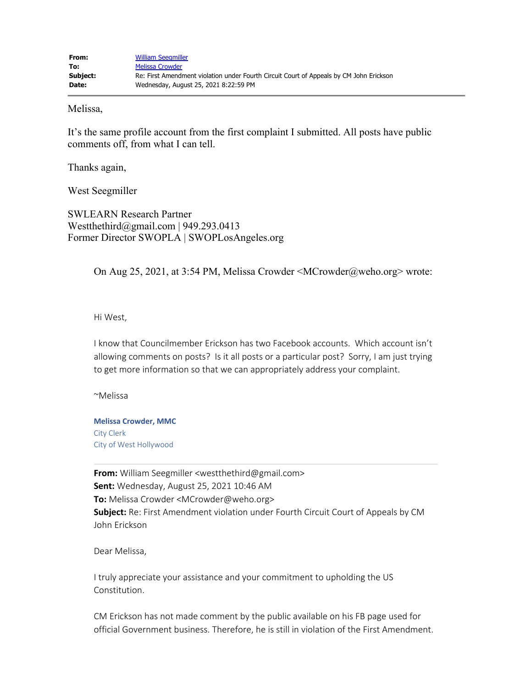Melissa,

It's the same profile account from the first complaint I submitted. All posts have public comments off, from what I can tell.

Thanks again,

West Seegmiller

SWLEARN Research Partner Westthethird@gmail.com | 949.293.0413 Former Director SWOPLA | SWOPLosAngeles.org

On Aug 25, 2021, at 3:54 PM, Melissa Crowder <MCrowder@weho.org> wrote:

Hi West,

I know that Councilmember Erickson has two Facebook accounts. Which account isn't allowing comments on posts? Is it all posts or a particular post? Sorry, I am just trying to get more information so that we can appropriately address your complaint.

~Melissa

**Melissa Crowder, MMC** City Clerk City of West Hollywood

**From:** William Seegmiller <westthethird@gmail.com> **Sent:** Wednesday, August 25, 2021 10:46 AM **To:** Melissa Crowder <MCrowder@weho.org> **Subject:** Re: First Amendment violation under Fourth Circuit Court of Appeals by CM John Erickson

Dear Melissa,

I truly appreciate your assistance and your commitment to upholding the US Constitution.

CM Erickson has not made comment by the public available on his FB page used for official Government business. Therefore, he is still in violation of the First Amendment.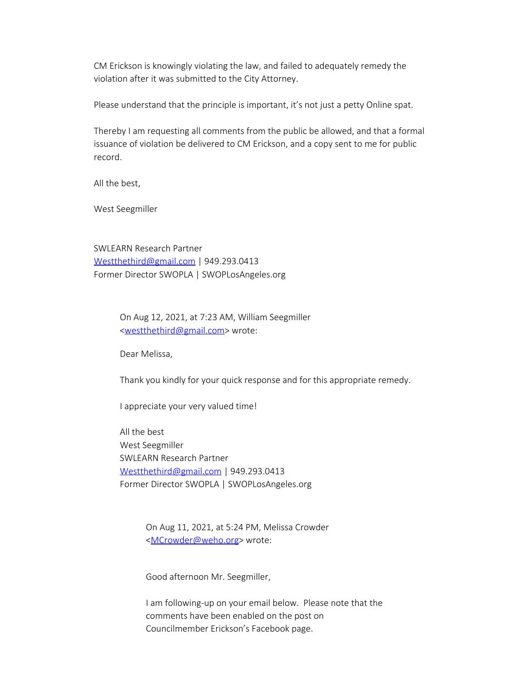CM Erickson is knowingly violating the law, and failed to adequately remedy the violation after it was submitted to the City Attorney.

Please understand that the principle is important, it's not just a petty Online spat.

Thereby I am requesting all comments from the public be allowed, and that a formal issuance of violation be delivered to CM Erickson, and a copy sent to me for public record.

All the best,

West Seegmiller

SWLEARN Research Partner [Westthethird@gmail.com](mailto:Westthethird@gmail.com) | 949.293.0413 Former Director SWOPLA | SWOPLosAngeles.org

> On Aug 12, 2021, at 7:23 AM, William Seegmiller [<westthethird@gmail.com](mailto:westthethird@gmail.com)> wrote:

Dear Melissa,

Thank you kindly for your quick response and for this appropriate remedy.

I appreciate your very valued time!

All the best West Seegmiller SWLEARN Research Partner [Westthethird@gmail.com](mailto:Westthethird@gmail.com) | 949.293.0413 Former Director SWOPLA | SWOPLosAngeles.org

> On Aug 11, 2021, at 5:24 PM, Melissa Crowder [<MCrowder@weho.org](mailto:MCrowder@weho.org)> wrote:

Good afternoon Mr. Seegmiller,

I am following-up on your email below. Please note that the comments have been enabled on the post on Councilmember Erickson's Facebook page.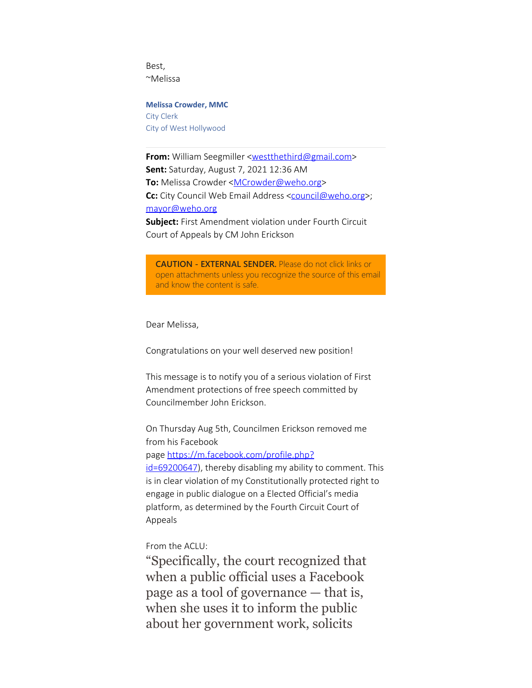Best, ~Melissa

**Melissa Crowder, MMC** City Clerk City of West Hollywood

**From:** William Seegmiller <**westthethird@gmail.com> Sent:** Saturday, August 7, 2021 12:36 AM **To:** Melissa Crowder <**[MCrowder@weho.org](mailto:MCrowder@weho.org)> Cc:** City Council Web Email Address [<council@weho.org](mailto:council@weho.org)>; [mayor@weho.org](mailto:mayor@weho.org) **Subject:** First Amendment violation under Fourth Circuit Court of Appeals by CM John Erickson

**CAUTION - EXTERNAL SENDER.** Please do not click links or open attachments unless you recognize the source of this email and know the content is safe.

Dear Melissa,

Congratulations on your well deserved new position!

This message is to notify you of a serious violation of First Amendment protections of free speech committed by Councilmember John Erickson.

On Thursday Aug 5th, Councilmen Erickson removed me from his Facebook

page [https://m.facebook.com/profile.php?](https://gcc02.safelinks.protection.outlook.com/?url=https%3A%2F%2Fm.facebook.com%2Fprofile.php%3Fid%3D69200647%26ref%3Dcontent_filter&data=04%7C01%7CMCrowder%40weho.org%7Ce0e2ed280cc84620f69908d96840cb5d%7C0432d4aa7c0a41beaa40f696e053e546%7C0%7C0%7C637655449783735662%7CUnknown%7CTWFpbGZsb3d8eyJWIjoiMC4wLjAwMDAiLCJQIjoiV2luMzIiLCJBTiI6Ik1haWwiLCJXVCI6Mn0%3D%7C1000&sdata=kbOndMkY97vxXvTNdebaVNz7IOPMbq%2BFPIgHcB9JG6Y%3D&reserved=0)

[id=69200647](https://gcc02.safelinks.protection.outlook.com/?url=https%3A%2F%2Fm.facebook.com%2Fprofile.php%3Fid%3D69200647%26ref%3Dcontent_filter&data=04%7C01%7CMCrowder%40weho.org%7Ce0e2ed280cc84620f69908d96840cb5d%7C0432d4aa7c0a41beaa40f696e053e546%7C0%7C0%7C637655449783735662%7CUnknown%7CTWFpbGZsb3d8eyJWIjoiMC4wLjAwMDAiLCJQIjoiV2luMzIiLCJBTiI6Ik1haWwiLCJXVCI6Mn0%3D%7C1000&sdata=kbOndMkY97vxXvTNdebaVNz7IOPMbq%2BFPIgHcB9JG6Y%3D&reserved=0)), thereby disabling my ability to comment. This is in clear violation of my Constitutionally protected right to engage in public dialogue on a Elected Official's media platform, as determined by the Fourth Circuit Court of Appeals

From the ACLU:

"Specifically, the court recognized that when a public official uses a Facebook page as a tool of governance — that is, when she uses it to inform the public about her government work, solicits